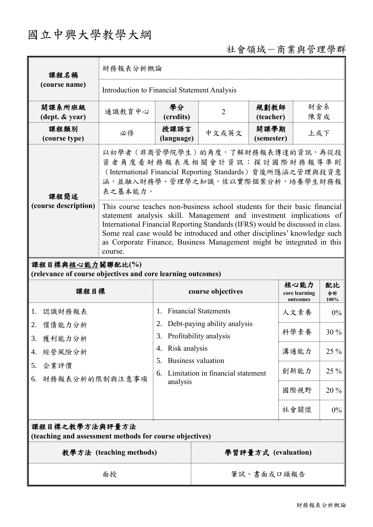# 國立中興大學教學大綱

# 社會領域-商業與管理學群

| 課程名稱<br>(course name)                                                           | 財務報表分析概論                                                                                                                                                                                                                                                                                                                                                                                             |                                                                                                         |                     |                    |                                   |                  |  |
|---------------------------------------------------------------------------------|------------------------------------------------------------------------------------------------------------------------------------------------------------------------------------------------------------------------------------------------------------------------------------------------------------------------------------------------------------------------------------------------------|---------------------------------------------------------------------------------------------------------|---------------------|--------------------|-----------------------------------|------------------|--|
|                                                                                 | Introduction to Financial Statement Analysis                                                                                                                                                                                                                                                                                                                                                         |                                                                                                         |                     |                    |                                   |                  |  |
| 開課系所班級<br>(dept. & year)                                                        | 通識教育中心                                                                                                                                                                                                                                                                                                                                                                                               | 學分<br>(credits)                                                                                         | $\overline{2}$      | 規劃教師<br>(teacher)  |                                   | 財金系<br>陳育成       |  |
| 課程類別<br>(course type)                                                           | 必修                                                                                                                                                                                                                                                                                                                                                                                                   | 授課語言<br>(language)                                                                                      | 中文或英文               | 開課學期<br>(semester) | 上或下                               |                  |  |
| 課程簡述                                                                            | 以初學者 (非商管學院學生) 的角度, 了解財務報表傳達的資訊, 再從投<br>資者角度看財務報表及相關會計資訊;探討國際財務報導準則<br>(International Financial Reporting Standards) 背後所隱涵之管理與投資意<br>涵,並融入財務學、管理學之知識,佐以實際個案分析,培養學生財務報<br>表之基本能力。                                                                                                                                                                                                                     |                                                                                                         |                     |                    |                                   |                  |  |
| (course description)                                                            | This course teaches non-business school students for their basic financial<br>statement analysis skill. Management and investment implications of<br>International Financial Reporting Standards (IFRS) would be discussed in class.<br>Some real case would be introduced and other disciplines' knowledge such<br>as Corporate Finance, Business Management might be integrated in this<br>course. |                                                                                                         |                     |                    |                                   |                  |  |
| 課程目標與核心能力關聯配比(%)<br>(relevance of course objectives and core learning outcomes) |                                                                                                                                                                                                                                                                                                                                                                                                      |                                                                                                         |                     |                    |                                   |                  |  |
| 課程目標                                                                            |                                                                                                                                                                                                                                                                                                                                                                                                      | course objectives                                                                                       |                     |                    | 核心能力<br>core learning<br>outcomes | 配比<br>合計<br>100% |  |
| 認識財務報表<br>1.                                                                    |                                                                                                                                                                                                                                                                                                                                                                                                      | <b>Financial Statements</b><br>1.<br>Debt-paying ability analysis<br>2.<br>Profitability analysis<br>3. |                     |                    | 人文素養                              | $0\%$            |  |
| 2. 償債能力分析<br>3. 獲利能力分析<br>經營風險分析<br>4.<br>企業評價<br>5.<br>財務報表分析的限制與注意事項<br>6.    |                                                                                                                                                                                                                                                                                                                                                                                                      |                                                                                                         |                     |                    | 科學素養                              | 30 %             |  |
|                                                                                 |                                                                                                                                                                                                                                                                                                                                                                                                      | Risk analysis<br>4.<br><b>Business valuation</b><br>5.                                                  |                     |                    | 溝通能力                              | 25 %             |  |
|                                                                                 |                                                                                                                                                                                                                                                                                                                                                                                                      | Limitation in financial statement<br>6.<br>analysis                                                     |                     |                    | 創新能力                              | 25 %             |  |
|                                                                                 |                                                                                                                                                                                                                                                                                                                                                                                                      |                                                                                                         |                     |                    | 國際視野                              | 20 %             |  |
|                                                                                 |                                                                                                                                                                                                                                                                                                                                                                                                      |                                                                                                         |                     | 社會關懷               | $0\%$                             |                  |  |
| 課程目標之教學方法與評量方法<br>(teaching and assessment methods for course objectives)       |                                                                                                                                                                                                                                                                                                                                                                                                      |                                                                                                         |                     |                    |                                   |                  |  |
| 教學方法 (teaching methods)                                                         |                                                                                                                                                                                                                                                                                                                                                                                                      |                                                                                                         | 學習評量方式 (evaluation) |                    |                                   |                  |  |
| 面授                                                                              |                                                                                                                                                                                                                                                                                                                                                                                                      |                                                                                                         | 筆試、書面或口頭報告          |                    |                                   |                  |  |